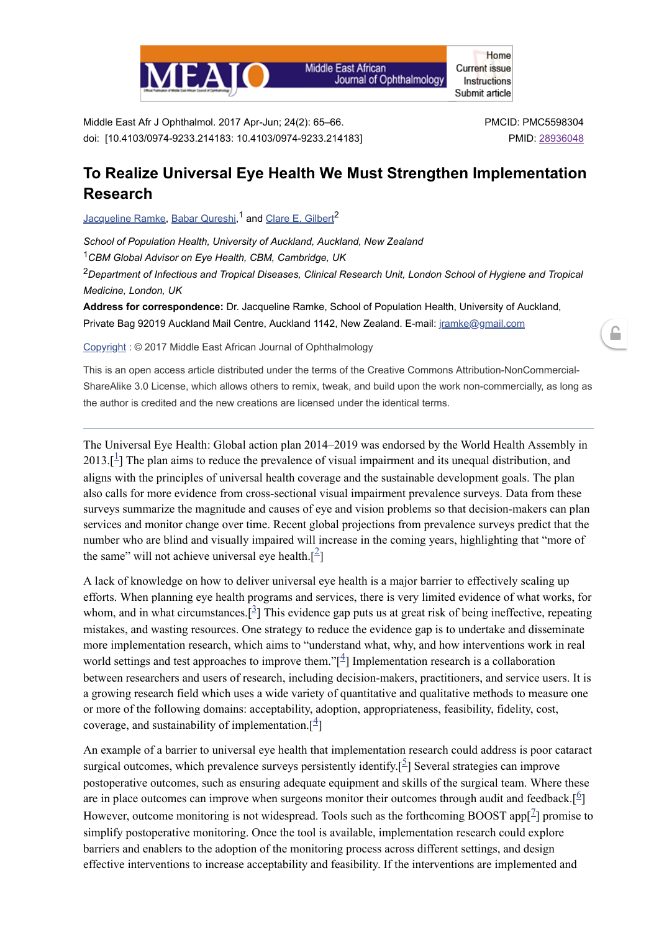

**Middle East African** Journal of Ophthalmology

**Current issue** Instructions Submit article

Home

Middle East Afr J Ophthalmol. 2017 Apr-Jun; 24(2): 65–66. doi: [10.4103/0974-9233.214183: 10.4103/0974-9233.214183] PMCID: PMC5598304 PMID: [28936048](https://www.ncbi.nlm.nih.gov/pubmed/28936048)

≏

## **To Realize Universal Eye Health We Must Strengthen Implementation Research**

[Jacqueline](https://www.ncbi.nlm.nih.gov/pubmed/?term=Ramke%20J%5BAuthor%5D&cauthor=true&cauthor_uid=28936048) Ramke, Babar [Qureshi](https://www.ncbi.nlm.nih.gov/pubmed/?term=Qureshi%20B%5BAuthor%5D&cauthor=true&cauthor_uid=28936048),<sup>1</sup> and Clare E. [Gilbert](https://www.ncbi.nlm.nih.gov/pubmed/?term=Gilbert%20CE%5BAuthor%5D&cauthor=true&cauthor_uid=28936048)<sup>2</sup>

*School of Population Health, University of Auckland, Auckland, New Zealand*

*CBM Global Advisor on Eye Health, CBM, Cambridge, UK* 1

*Department of Infectious and Tropical Diseases, Clinical Research Unit, London School of Hygiene and Tropical* 2 *Medicine, London, UK*

**Address for correspondence:** Dr. Jacqueline Ramke, School of Population Health, University of Auckland, Private Bag 92019 Auckland Mail Centre, Auckland 1142, New Zealand. E-mail: [jramke@gmail.com](mailto:dev@null)

[Copyright](https://www.ncbi.nlm.nih.gov/pmc/about/copyright/) : © 2017 Middle East African Journal of Ophthalmology

This is an open access article distributed under the terms of the Creative Commons Attribution-NonCommercial-ShareAlike 3.0 License, which allows others to remix, tweak, and build upon the work non-commercially, as long as the author is credited and the new creations are licensed under the identical terms.

The Universal Eye Health: Global action plan 2014–2019 was endorsed by the World Health Assembly in  $2013.$  $2013.$  $2013.$ [ $\frac{1}{1}$ ] The plan aims to reduce the prevalence of visual impairment and its unequal distribution, and aligns with the principles of universal health coverage and the sustainable development goals. The plan also calls for more evidence from cross-sectional visual impairment prevalence surveys. Data from these surveys summarize the magnitude and causes of eye and vision problems so that decision-makers can plan services and monitor change over time. Recent global projections from prevalence surveys predict that the number who are blind and visually impaired will increase in the coming years, highlighting that "more of the same" will not achieve universal eye health. $[<sup>2</sup>]$  $[<sup>2</sup>]$  $[<sup>2</sup>]$ 

A lack of knowledge on how to deliver universal eye health is a major barrier to effectively scaling up efforts. When planning eye health programs and services, there is very limited evidence of what works, for whom, and in what circumstances.  $\left[\frac{3}{2}\right]$  $\left[\frac{3}{2}\right]$  $\left[\frac{3}{2}\right]$  This evidence gap puts us at great risk of being ineffective, repeating mistakes, and wasting resources. One strategy to reduce the evidence gap is to undertake and disseminate more implementation research, which aims to "understand what, why, and how interventions work in real world settings and test approaches to improve them." $\left[\frac{4}{1}\right]$  $\left[\frac{4}{1}\right]$  $\left[\frac{4}{1}\right]$  Implementation research is a collaboration between researchers and users of research, including decision-makers, practitioners, and service users. It is a growing research field which uses a wide variety of quantitative and qualitative methods to measure one or more of the following domains: acceptability, adoption, appropriateness, feasibility, fidelity, cost, coverage, and sustainability of implementation.  $\left[\frac{4}{3}\right]$  $\left[\frac{4}{3}\right]$  $\left[\frac{4}{3}\right]$ 

An example of a barrier to universal eye health that implementation research could address is poor cataract surgical outcomes, which prevalence surveys persistently identify.<sup>[[5](#page-1-4)]</sup> Several strategies can improve postoperative outcomes, such as ensuring adequate equipment and skills of the surgical team. Where these are in place outcomes can improve when surgeons monitor their outcomes through audit and feedback.<sup>[[6](#page-1-5)</sup>] However, outcome monitoring is not widespread. Tools such as the forthcoming BOOST app $[$ <sup> $\mathbb{Z}$ </sup> promise to simplify postoperative monitoring. Once the tool is available, implementation research could explore barriers and enablers to the adoption of the monitoring process across different settings, and design effective interventions to increase acceptability and feasibility. If the interventions are implemented and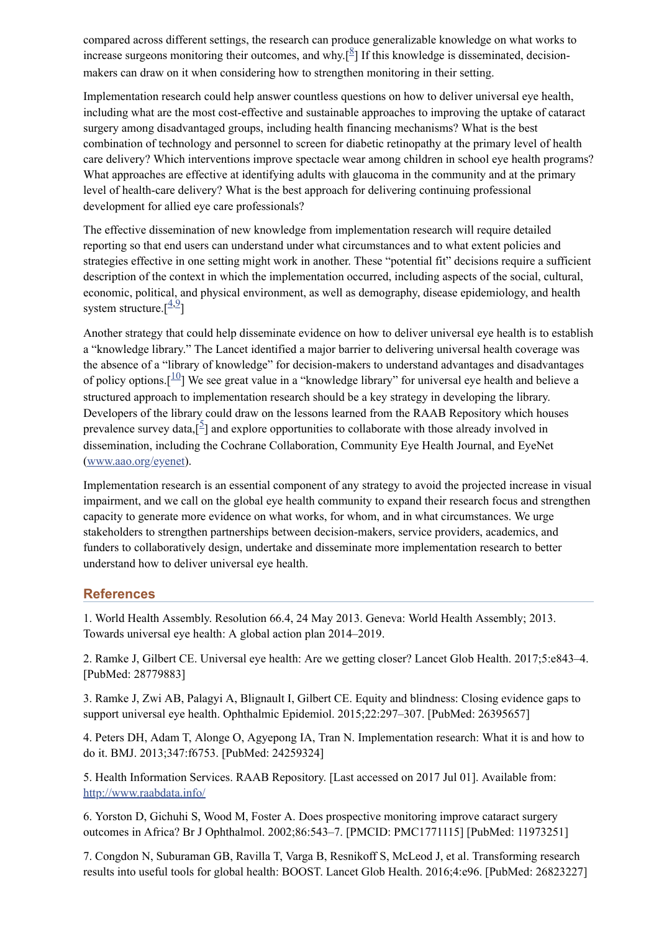compared across different settings, the research can produce generalizable knowledge on what works to increase surgeons monitoring their outcomes, and why.<sup>[[8](#page-2-0)]</sup> If this knowledge is disseminated, decisionmakers can draw on it when considering how to strengthen monitoring in their setting.

Implementation research could help answer countless questions on how to deliver universal eye health, including what are the most cost-effective and sustainable approaches to improving the uptake of cataract surgery among disadvantaged groups, including health financing mechanisms? What is the best combination of technology and personnel to screen for diabetic retinopathy at the primary level of health care delivery? Which interventions improve spectacle wear among children in school eye health programs? What approaches are effective at identifying adults with glaucoma in the community and at the primary level of health-care delivery? What is the best approach for delivering continuing professional development for allied eye care professionals?

The effective dissemination of new knowledge from implementation research will require detailed reporting so that end users can understand under what circumstances and to what extent policies and strategies effective in one setting might work in another. These "potential fit" decisions require a sufficient description of the context in which the implementation occurred, including aspects of the social, cultural, economic, political, and physical environment, as well as demography, disease epidemiology, and health system structure. $\left[\frac{4,9}{4}\right]$  $\left[\frac{4,9}{4}\right]$  $\left[\frac{4,9}{4}\right]$  $\left[\frac{4,9}{4}\right]$  $\left[\frac{4,9}{4}\right]$ 

Another strategy that could help disseminate evidence on how to deliver universal eye health is to establish a "knowledge library." The Lancet identified a major barrier to delivering universal health coverage was the absence of a "library of knowledge" for decision-makers to understand advantages and disadvantages of policy options.  $\left[\frac{10}{10}\right]$  $\left[\frac{10}{10}\right]$  $\left[\frac{10}{10}\right]$  We see great value in a "knowledge library" for universal eye health and believe a structured approach to implementation research should be a key strategy in developing the library. Developers of the library could draw on the lessons learned from the RAAB Repository which houses prevalence survey data, $\left[\frac{5}{7}\right]$  $\left[\frac{5}{7}\right]$  $\left[\frac{5}{7}\right]$  and explore opportunities to collaborate with those already involved in dissemination, including the Cochrane Collaboration, Community Eye Health Journal, and EyeNet ([www.aao.org/eyenet\)](http://www.aao.org/eyenet).

Implementation research is an essential component of any strategy to avoid the projected increase in visual impairment, and we call on the global eye health community to expand their research focus and strengthen capacity to generate more evidence on what works, for whom, and in what circumstances. We urge stakeholders to strengthen partnerships between decision-makers, service providers, academics, and funders to collaboratively design, undertake and disseminate more implementation research to better understand how to deliver universal eye health.

## **References**

<span id="page-1-0"></span>1. World Health Assembly. Resolution 66.4, 24 May 2013. Geneva: World Health Assembly; 2013. Towards universal eye health: A global action plan 2014–2019.

<span id="page-1-1"></span>2. Ramke J, Gilbert CE. Universal eye health: Are we getting closer? Lancet Glob Health. 2017;5:e843–4. [PubMed: 28779883]

<span id="page-1-2"></span>3. Ramke J, Zwi AB, Palagyi A, Blignault I, Gilbert CE. Equity and blindness: Closing evidence gaps to support universal eye health. Ophthalmic Epidemiol. 2015;22:297–307. [PubMed: 26395657]

<span id="page-1-3"></span>4. Peters DH, Adam T, Alonge O, Agyepong IA, Tran N. Implementation research: What it is and how to do it. BMJ. 2013;347:f6753. [PubMed: 24259324]

<span id="page-1-4"></span>5. Health Information Services. RAAB Repository. [Last accessed on 2017 Jul 01]. Available from: <http://www.raabdata.info/>

<span id="page-1-5"></span>6. Yorston D, Gichuhi S, Wood M, Foster A. Does prospective monitoring improve cataract surgery outcomes in Africa? Br J Ophthalmol. 2002;86:543–7. [PMCID: PMC1771115] [PubMed: 11973251]

<span id="page-1-6"></span>7. Congdon N, Suburaman GB, Ravilla T, Varga B, Resnikoff S, McLeod J, et al. Transforming research results into useful tools for global health: BOOST. Lancet Glob Health. 2016;4:e96. [PubMed: 26823227]